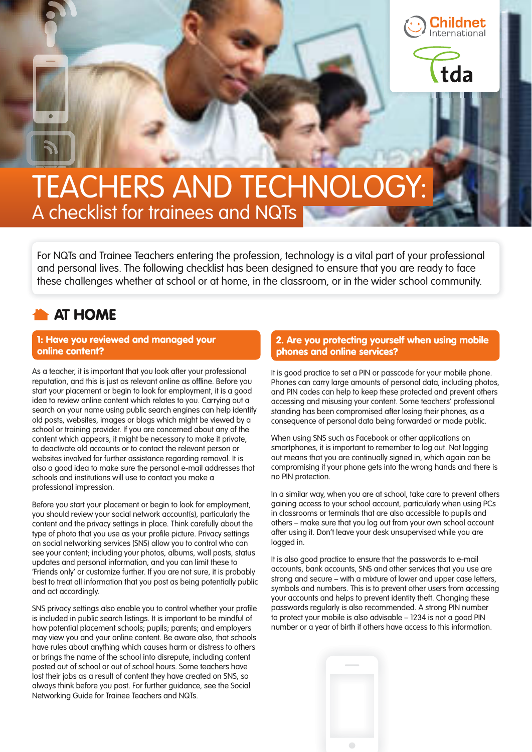da

# TEACHERS AND TECHNOLOGY: A checklist for trainees and NQTs

For NQTs and Trainee Teachers entering the profession, technology is a vital part of your professional and personal lives. The following checklist has been designed to ensure that you are ready to face these challenges whether at school or at home, in the classroom, or in the wider school community.

### AT HOME

#### 1: Have you reviewed and managed your online content?

As a teacher, it is important that you look after your professional reputation, and this is just as relevant online as offline. Before you start your placement or begin to look for employment, it is a good idea to review online content which relates to you. Carrying out a search on your name using public search engines can help identify old posts, websites, images or blogs which might be viewed by a school or training provider. If you are concerned about any of the content which appears, it might be necessary to make it private, to deactivate old accounts or to contact the relevant person or websites involved for further assistance regarding removal. It is also a good idea to make sure the personal e-mail addresses that schools and institutions will use to contact you make a professional impression.

Before you start your placement or begin to look for employment, you should review your social network account(s), particularly the content and the privacy settings in place. Think carefully about the type of photo that you use as your profile picture. Privacy settings on social networking services (SNS) allow you to control who can see your content; including your photos, albums, wall posts, status updates and personal information, and you can limit these to 'Friends only' or customize further. If you are not sure, it is probably best to treat all information that you post as being potentially public and act accordingly.

SNS privacy settings also enable you to control whether your profile is included in public search listings. It is important to be mindful of how potential placement schools; pupils; parents; and employers may view you and your online content. Be aware also, that schools have rules about anything which causes harm or distress to others or brings the name of the school into disrepute, including content posted out of school or out of school hours. Some teachers have lost their jobs as a result of content they have created on SNS, so always think before you post. For further guidance, see the Social Networking Guide for Trainee Teachers and NQTs.

#### 2. Are you protecting yourself when using mobile phones and online services?

It is good practice to set a PIN or passcode for your mobile phone. Phones can carry large amounts of personal data, including photos, and PIN codes can help to keep these protected and prevent others accessing and misusing your content. Some teachers' professional standing has been compromised after losing their phones, as a consequence of personal data being forwarded or made public.

When using SNS such as Facebook or other applications on smartphones, it is important to remember to log out. Not logging out means that you are continually signed in, which again can be compromising if your phone gets into the wrong hands and there is no PIN protection.

In a similar way, when you are at school, take care to prevent others gaining access to your school account, particularly when using PCs in classrooms or terminals that are also accessible to pupils and others – make sure that you log out from your own school account after using it. Don't leave your desk unsupervised while you are logged in.

It is also good practice to ensure that the passwords to e-mail accounts, bank accounts, SNS and other services that you use are strong and secure – with a mixture of lower and upper case letters, symbols and numbers. This is to prevent other users from accessing your accounts and helps to prevent identity theft. Changing these passwords regularly is also recommended. A strong PIN number to protect your mobile is also advisable – 1234 is not a good PIN number or a year of birth if others have access to this information.

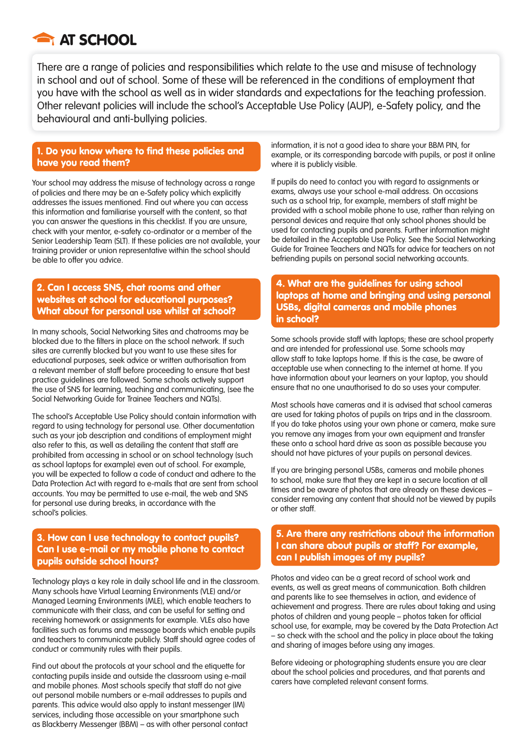

There are a range of policies and responsibilities which relate to the use and misuse of technology in school and out of school. Some of these will be referenced in the conditions of employment that you have with the school as well as in wider standards and expectations for the teaching profession. Other relevant policies will include the school's Acceptable Use Policy (AUP), e-Safety policy, and the behavioural and anti-bullying policies.

#### 1. Do you know where to find these policies and have you read them?

Your school may address the misuse of technology across a range of policies and there may be an e-Safety policy which explicitly addresses the issues mentioned. Find out where you can access this information and familiarise yourself with the content, so that you can answer the questions in this checklist. If you are unsure, check with your mentor, e-safety co-ordinator or a member of the Senior Leadership Team (SLT). If these policies are not available, your training provider or union representative within the school should be able to offer you advice.

#### 2. Can I access SNS, chat rooms and other websites at school for educational purposes? What about for personal use whilst at school?

In many schools, Social Networking Sites and chatrooms may be blocked due to the filters in place on the school network. If such sites are currently blocked but you want to use these sites for educational purposes, seek advice or written authorisation from a relevant member of staff before proceeding to ensure that best practice guidelines are followed. Some schools actively support the use of SNS for learning, teaching and communicating, (see the Social Networking Guide for Trainee Teachers and NQTs).

The school's Acceptable Use Policy should contain information with regard to using technology for personal use. Other documentation such as your job description and conditions of employment might also refer to this, as well as detailing the content that staff are prohibited from accessing in school or on school technology (such as school laptops for example) even out of school. For example, you will be expected to follow a code of conduct and adhere to the Data Protection Act with regard to e-mails that are sent from school accounts. You may be permitted to use e-mail, the web and SNS for personal use during breaks, in accordance with the school's policies.

#### 3. How can I use technology to contact pupils? Can I use e-mail or my mobile phone to contact pupils outside school hours?

Technology plays a key role in daily school life and in the classroom. Many schools have Virtual Learning Environments (VLE) and/or Managed Learning Environments (MLE), which enable teachers to communicate with their class, and can be useful for setting and receiving homework or assignments for example. VLEs also have facilities such as forums and message boards which enable pupils and teachers to communicate publicly. Staff should agree codes of conduct or community rules with their pupils.

Find out about the protocols at your school and the etiquette for contacting pupils inside and outside the classroom using e-mail and mobile phones. Most schools specify that staff do not give out personal mobile numbers or e-mail addresses to pupils and parents. This advice would also apply to instant messenger (IM) services, including those accessible on your smartphone such as Blackberry Messenger (BBM) – as with other personal contact information, it is not a good idea to share your BBM PIN, for example, or its corresponding barcode with pupils, or post it online where it is publicly visible.

If pupils do need to contact you with regard to assignments or exams, always use your school e-mail address. On occasions such as a school trip, for example, members of staff might be provided with a school mobile phone to use, rather than relying on personal devices and require that only school phones should be used for contacting pupils and parents. Further information might be detailed in the Acceptable Use Policy. See the Social Networking Guide for Trainee Teachers and NQTs for advice for teachers on not befriending pupils on personal social networking accounts.

#### 4. What are the guidelines for using school laptops at home and bringing and using personal USBs, digital cameras and mobile phones in school?

Some schools provide staff with laptops; these are school property and are intended for professional use. Some schools may allow staff to take laptops home. If this is the case, be aware of acceptable use when connecting to the internet at home. If you have information about your learners on your laptop, you should ensure that no one unauthorised to do so uses your computer.

Most schools have cameras and it is advised that school cameras are used for taking photos of pupils on trips and in the classroom. If you do take photos using your own phone or camera, make sure you remove any images from your own equipment and transfer these onto a school hard drive as soon as possible because you should not have pictures of your pupils on personal devices.

If you are bringing personal USBs, cameras and mobile phones to school, make sure that they are kept in a secure location at all times and be aware of photos that are already on these devices – consider removing any content that should not be viewed by pupils or other staff.

#### 5. Are there any restrictions about the information I can share about pupils or staff? For example, can I publish images of my pupils?

Photos and video can be a great record of school work and events, as well as great means of communication. Both children and parents like to see themselves in action, and evidence of achievement and progress. There are rules about taking and using photos of children and young people - photos taken for official school use, for example, may be covered by the Data Protection Act – so check with the school and the policy in place about the taking and sharing of images before using any images.

Before videoing or photographing students ensure you are clear about the school policies and procedures, and that parents and carers have completed relevant consent forms.